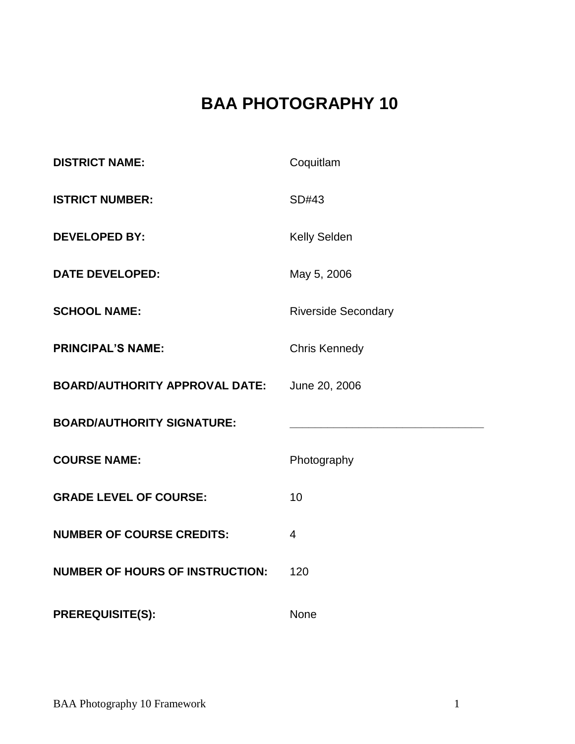# **BAA PHOTOGRAPHY 10**

| <b>DISTRICT NAME:</b>                  | Coquitlam                  |
|----------------------------------------|----------------------------|
| <b>ISTRICT NUMBER:</b>                 | SD#43                      |
| <b>DEVELOPED BY:</b>                   | Kelly Selden               |
| <b>DATE DEVELOPED:</b>                 | May 5, 2006                |
| <b>SCHOOL NAME:</b>                    | <b>Riverside Secondary</b> |
| <b>PRINCIPAL'S NAME:</b>               | <b>Chris Kennedy</b>       |
| <b>BOARD/AUTHORITY APPROVAL DATE:</b>  | June 20, 2006              |
| <b>BOARD/AUTHORITY SIGNATURE:</b>      |                            |
| <b>COURSE NAME:</b>                    | Photography                |
| <b>GRADE LEVEL OF COURSE:</b>          | 10                         |
| <b>NUMBER OF COURSE CREDITS:</b>       | 4                          |
| <b>NUMBER OF HOURS OF INSTRUCTION:</b> | 120                        |
| <b>PREREQUISITE(S):</b>                | <b>None</b>                |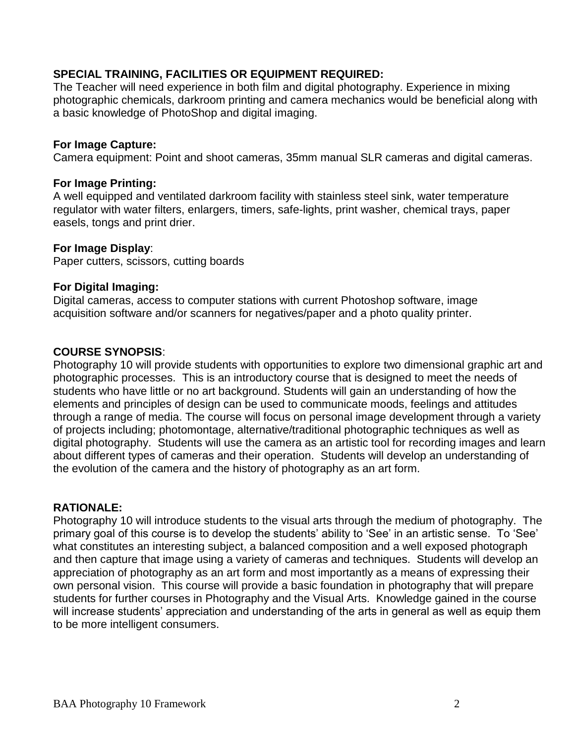#### **SPECIAL TRAINING, FACILITIES OR EQUIPMENT REQUIRED:**

The Teacher will need experience in both film and digital photography. Experience in mixing photographic chemicals, darkroom printing and camera mechanics would be beneficial along with a basic knowledge of PhotoShop and digital imaging.

#### **For Image Capture:**

Camera equipment: Point and shoot cameras, 35mm manual SLR cameras and digital cameras.

#### **For Image Printing:**

A well equipped and ventilated darkroom facility with stainless steel sink, water temperature regulator with water filters, enlargers, timers, safe-lights, print washer, chemical trays, paper easels, tongs and print drier.

#### **For Image Display**:

Paper cutters, scissors, cutting boards

#### **For Digital Imaging:**

Digital cameras, access to computer stations with current Photoshop software, image acquisition software and/or scanners for negatives/paper and a photo quality printer.

#### **COURSE SYNOPSIS**:

Photography 10 will provide students with opportunities to explore two dimensional graphic art and photographic processes. This is an introductory course that is designed to meet the needs of students who have little or no art background. Students will gain an understanding of how the elements and principles of design can be used to communicate moods, feelings and attitudes through a range of media. The course will focus on personal image development through a variety of projects including; photomontage, alternative/traditional photographic techniques as well as digital photography. Students will use the camera as an artistic tool for recording images and learn about different types of cameras and their operation. Students will develop an understanding of the evolution of the camera and the history of photography as an art form.

#### **RATIONALE:**

Photography 10 will introduce students to the visual arts through the medium of photography. The primary goal of this course is to develop the students' ability to 'See' in an artistic sense. To 'See' what constitutes an interesting subject, a balanced composition and a well exposed photograph and then capture that image using a variety of cameras and techniques. Students will develop an appreciation of photography as an art form and most importantly as a means of expressing their own personal vision. This course will provide a basic foundation in photography that will prepare students for further courses in Photography and the Visual Arts. Knowledge gained in the course will increase students' appreciation and understanding of the arts in general as well as equip them to be more intelligent consumers.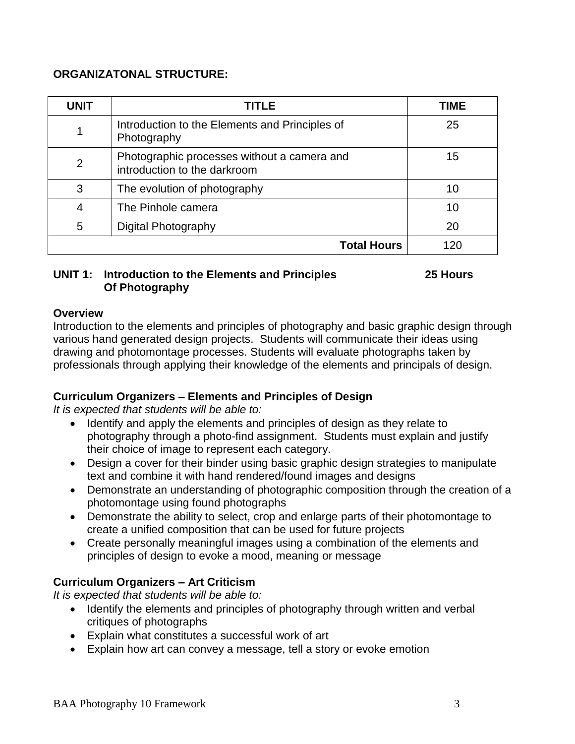#### **ORGANIZATONAL STRUCTURE:**

| <b>UNIT</b>    | <b>TITLE</b>                                                                | TIME |
|----------------|-----------------------------------------------------------------------------|------|
| 1              | Introduction to the Elements and Principles of<br>Photography               | 25   |
| $\overline{2}$ | Photographic processes without a camera and<br>introduction to the darkroom | 15   |
| 3              | The evolution of photography                                                | 10   |
| 4              | The Pinhole camera                                                          | 10   |
| 5              | Digital Photography                                                         | 20   |
|                | <b>Total Hours</b>                                                          | 120  |

#### **UNIT 1: Introduction to the Elements and Principles 25 Hours Of Photography**

#### **Overview**

Introduction to the elements and principles of photography and basic graphic design through various hand generated design projects. Students will communicate their ideas using drawing and photomontage processes. Students will evaluate photographs taken by professionals through applying their knowledge of the elements and principals of design.

#### **Curriculum Organizers – Elements and Principles of Design**

*It is expected that students will be able to:*

- Identify and apply the elements and principles of design as they relate to photography through a photo-find assignment. Students must explain and justify their choice of image to represent each category.
- Design a cover for their binder using basic graphic design strategies to manipulate text and combine it with hand rendered/found images and designs
- Demonstrate an understanding of photographic composition through the creation of a photomontage using found photographs
- Demonstrate the ability to select, crop and enlarge parts of their photomontage to create a unified composition that can be used for future projects
- Create personally meaningful images using a combination of the elements and principles of design to evoke a mood, meaning or message

# **Curriculum Organizers – Art Criticism**

*It is expected that students will be able to:*

- Identify the elements and principles of photography through written and verbal critiques of photographs
- Explain what constitutes a successful work of art
- Explain how art can convey a message, tell a story or evoke emotion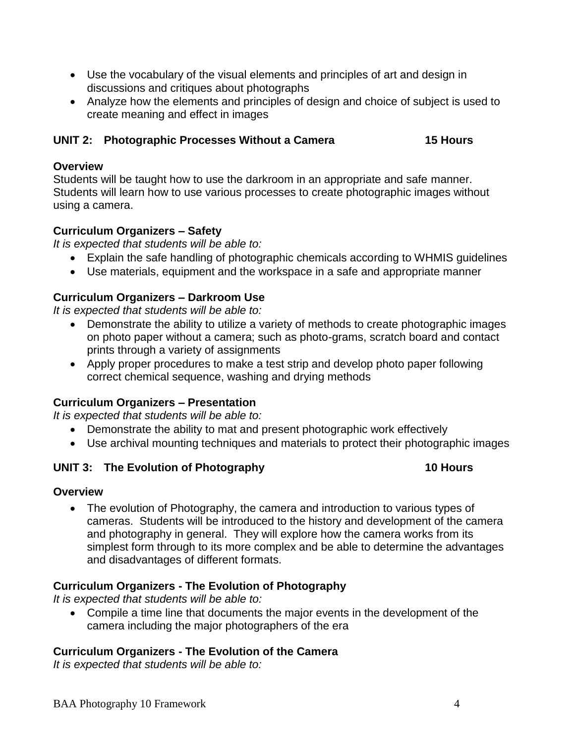- Use the vocabulary of the visual elements and principles of art and design in discussions and critiques about photographs
- Analyze how the elements and principles of design and choice of subject is used to create meaning and effect in images

# **UNIT 2: Photographic Processes Without a Camera 15 Hours**

#### **Overview**

Students will be taught how to use the darkroom in an appropriate and safe manner. Students will learn how to use various processes to create photographic images without using a camera.

# **Curriculum Organizers – Safety**

*It is expected that students will be able to:*

- Explain the safe handling of photographic chemicals according to WHMIS guidelines
- Use materials, equipment and the workspace in a safe and appropriate manner

# **Curriculum Organizers – Darkroom Use**

*It is expected that students will be able to:*

- Demonstrate the ability to utilize a variety of methods to create photographic images on photo paper without a camera; such as photo-grams, scratch board and contact prints through a variety of assignments
- Apply proper procedures to make a test strip and develop photo paper following correct chemical sequence, washing and drying methods

# **Curriculum Organizers – Presentation**

*It is expected that students will be able to:*

- Demonstrate the ability to mat and present photographic work effectively
- Use archival mounting techniques and materials to protect their photographic images

# **UNIT 3: The Evolution of Photography 10 Hours**

# **Overview**

• The evolution of Photography, the camera and introduction to various types of cameras. Students will be introduced to the history and development of the camera and photography in general. They will explore how the camera works from its simplest form through to its more complex and be able to determine the advantages and disadvantages of different formats.

# **Curriculum Organizers - The Evolution of Photography**

*It is expected that students will be able to:*

 Compile a time line that documents the major events in the development of the camera including the major photographers of the era

# **Curriculum Organizers - The Evolution of the Camera**

*It is expected that students will be able to:*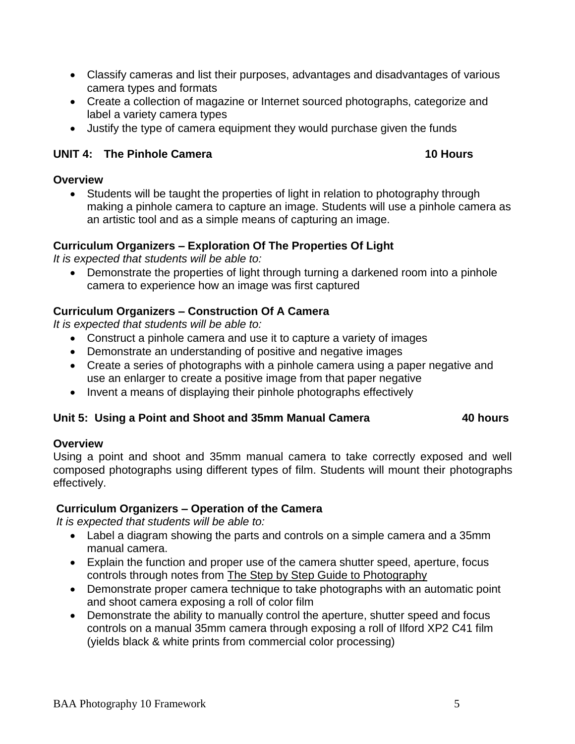- Classify cameras and list their purposes, advantages and disadvantages of various camera types and formats
- Create a collection of magazine or Internet sourced photographs, categorize and label a variety camera types
- Justify the type of camera equipment they would purchase given the funds

# **UNIT 4: The Pinhole Camera 10 Hours**

### **Overview**

 Students will be taught the properties of light in relation to photography through making a pinhole camera to capture an image. Students will use a pinhole camera as an artistic tool and as a simple means of capturing an image.

# **Curriculum Organizers – Exploration Of The Properties Of Light**

*It is expected that students will be able to:*

 Demonstrate the properties of light through turning a darkened room into a pinhole camera to experience how an image was first captured

# **Curriculum Organizers – Construction Of A Camera**

*It is expected that students will be able to:*

- Construct a pinhole camera and use it to capture a variety of images
- Demonstrate an understanding of positive and negative images
- Create a series of photographs with a pinhole camera using a paper negative and use an enlarger to create a positive image from that paper negative
- Invent a means of displaying their pinhole photographs effectively

# **Unit 5: Using a Point and Shoot and 35mm Manual Camera 40 hours**

# **Overview**

Using a point and shoot and 35mm manual camera to take correctly exposed and well composed photographs using different types of film. Students will mount their photographs effectively.

# **Curriculum Organizers – Operation of the Camera**

*It is expected that students will be able to:*

- Label a diagram showing the parts and controls on a simple camera and a 35mm manual camera.
- Explain the function and proper use of the camera shutter speed, aperture, focus controls through notes from The Step by Step Guide to Photography
- Demonstrate proper camera technique to take photographs with an automatic point and shoot camera exposing a roll of color film
- Demonstrate the ability to manually control the aperture, shutter speed and focus controls on a manual 35mm camera through exposing a roll of Ilford XP2 C41 film (yields black & white prints from commercial color processing)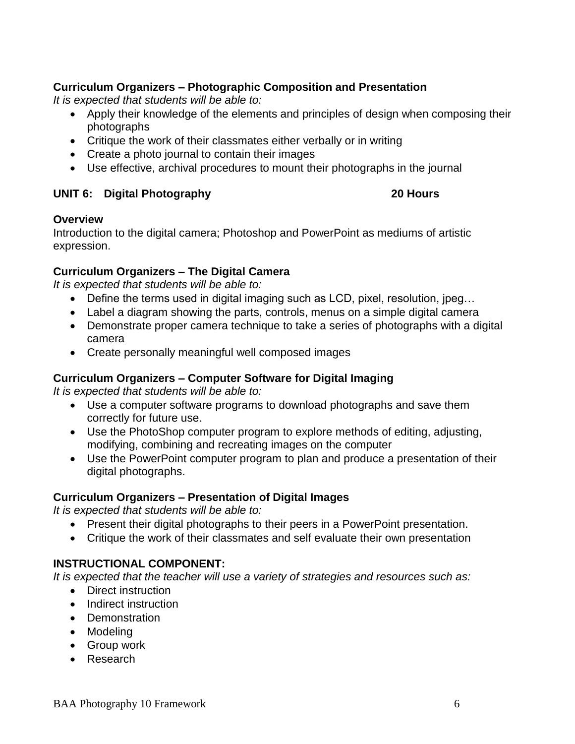# **Curriculum Organizers – Photographic Composition and Presentation**

*It is expected that students will be able to:*

- Apply their knowledge of the elements and principles of design when composing their photographs
- Critique the work of their classmates either verbally or in writing
- Create a photo journal to contain their images
- Use effective, archival procedures to mount their photographs in the journal

# **UNIT 6: Digital Photography 20 Hours**

#### **Overview**

Introduction to the digital camera; Photoshop and PowerPoint as mediums of artistic expression.

#### **Curriculum Organizers – The Digital Camera**

*It is expected that students will be able to:*

- Define the terms used in digital imaging such as LCD, pixel, resolution, jpeg…
- Label a diagram showing the parts, controls, menus on a simple digital camera
- Demonstrate proper camera technique to take a series of photographs with a digital camera
- Create personally meaningful well composed images

# **Curriculum Organizers – Computer Software for Digital Imaging**

*It is expected that students will be able to:*

- Use a computer software programs to download photographs and save them correctly for future use.
- Use the PhotoShop computer program to explore methods of editing, adjusting, modifying, combining and recreating images on the computer
- Use the PowerPoint computer program to plan and produce a presentation of their digital photographs.

#### **Curriculum Organizers – Presentation of Digital Images**

*It is expected that students will be able to:*

- Present their digital photographs to their peers in a PowerPoint presentation.
- Critique the work of their classmates and self evaluate their own presentation

# **INSTRUCTIONAL COMPONENT:**

*It is expected that the teacher will use a variety of strategies and resources such as:*

- Direct instruction
- Indirect instruction
- Demonstration
- Modeling
- Group work
- Research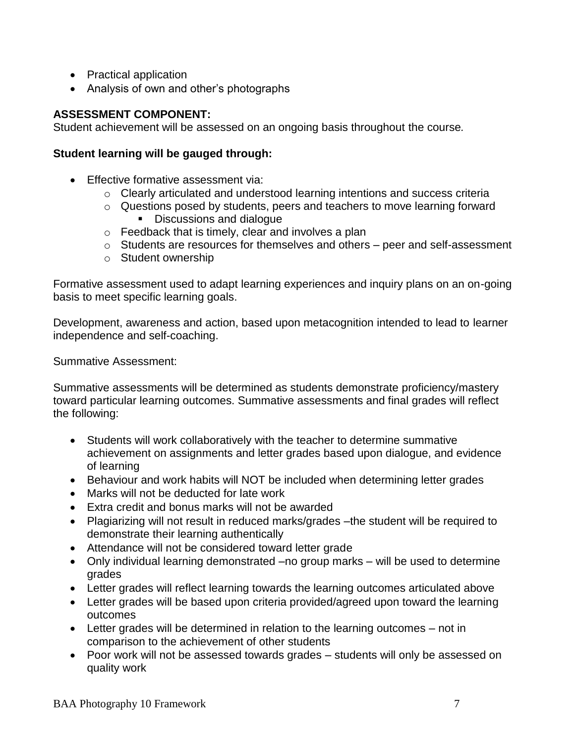- Practical application
- Analysis of own and other's photographs

### **ASSESSMENT COMPONENT:**

Student achievement will be assessed on an ongoing basis throughout the course*.*

#### **Student learning will be gauged through:**

- Effective formative assessment via:
	- o Clearly articulated and understood learning intentions and success criteria
	- o Questions posed by students, peers and teachers to move learning forward Discussions and dialogue
		-
	- o Feedback that is timely, clear and involves a plan
	- o Students are resources for themselves and others peer and self-assessment
	- o Student ownership

Formative assessment used to adapt learning experiences and inquiry plans on an on-going basis to meet specific learning goals.

Development, awareness and action, based upon metacognition intended to lead to learner independence and self-coaching.

Summative Assessment:

Summative assessments will be determined as students demonstrate proficiency/mastery toward particular learning outcomes. Summative assessments and final grades will reflect the following:

- Students will work collaboratively with the teacher to determine summative achievement on assignments and letter grades based upon dialogue, and evidence of learning
- Behaviour and work habits will NOT be included when determining letter grades
- Marks will not be deducted for late work
- Extra credit and bonus marks will not be awarded
- Plagiarizing will not result in reduced marks/grades –the student will be required to demonstrate their learning authentically
- Attendance will not be considered toward letter grade
- Only individual learning demonstrated –no group marks will be used to determine grades
- Letter grades will reflect learning towards the learning outcomes articulated above
- Letter grades will be based upon criteria provided/agreed upon toward the learning outcomes
- Letter grades will be determined in relation to the learning outcomes not in comparison to the achievement of other students
- Poor work will not be assessed towards grades students will only be assessed on quality work